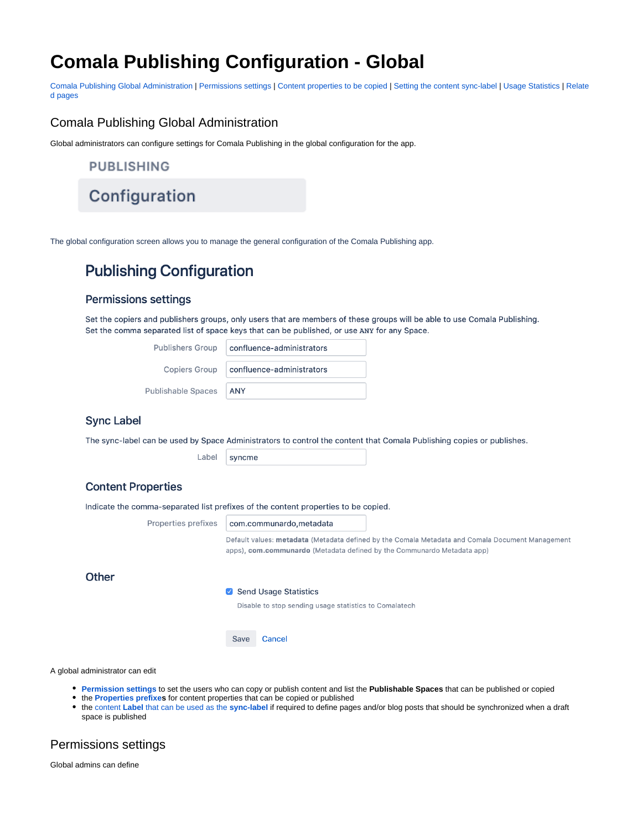## **Comala Publishing Configuration - Global**

[Comala Publishing Global Administration](https://wiki.comalatech.com/display/AHP/Comala+Publishing+Configuration+-+Global#ComalaPublishingConfigurationGlobal-ComalaPublishingGlobalAdministration) | [Permissions settings](https://wiki.comalatech.com/display/AHP/Comala+Publishing+Configuration+-+Global#ComalaPublishingConfigurationGlobal-Permissionssettingspermsets) | [Content properties to be copied](https://wiki.comalatech.com/display/AHP/Comala+Publishing+Configuration+-+Global#ComalaPublishingConfigurationGlobal-Contentpropertiestobecopiedpropprefix) | [Setting the content sync-label](https://wiki.comalatech.com/display/AHP/Comala+Publishing+Configuration+-+Global#ComalaPublishingConfigurationGlobal-Settingthecontentsync-labellabelsyncset) | [Usage Statistics](https://wiki.comalatech.com/display/AHP/Comala+Publishing+Configuration+-+Global#ComalaPublishingConfigurationGlobal-UsageStatistics) | [Relate](https://wiki.comalatech.com/display/AHP/Comala+Publishing+Configuration+-+Global#ComalaPublishingConfigurationGlobal-Relatedpages) [d pages](https://wiki.comalatech.com/display/AHP/Comala+Publishing+Configuration+-+Global#ComalaPublishingConfigurationGlobal-Relatedpages)

### Comala Publishing Global Administration

Global administrators can configure settings for Comala Publishing in the global configuration for the app.

**PUBLISHING** 

Configuration

The global configuration screen allows you to manage the general configuration of the Comala Publishing app.

## **Publishing Configuration**

#### **Permissions settings**

Set the copiers and publishers groups, only users that are members of these groups will be able to use Comala Publishing. Set the comma separated list of space keys that can be published, or use ANY for any Space.

| <b>Publishers Group</b>   | confluence-administrators |
|---------------------------|---------------------------|
| <b>Copiers Group</b>      | confluence-administrators |
| <b>Publishable Spaces</b> | <b>ANY</b>                |

#### **Sync Label**

The sync-label can be used by Space Administrators to control the content that Comala Publishing copies or publishes.

Label syncme

#### **Content Properties**

Indicate the comma-separated list prefixes of the content properties to be copied.

Properties prefixes com.communardo, metadata Default values: metadata (Metadata defined by the Comala Metadata and Comala Document Management apps), com.communardo (Metadata defined by the Communardo Metadata app) **Other** Send Usage Statistics Disable to stop sending usage statistics to Comalatech Cancel Save

A global administrator can edit

- **[Permission settings](#page-0-0)** to set the users who can copy or publish content and list the **Publishable Spaces** that can be published or copied
- the **[Properties prefixe](#page-1-0)s** for content properties that can be copied or published
- the content **Label** [that can be used as the](#page-1-1) **sync-label** if required to define pages and/or blog posts that should be synchronized when a draft space is published

#### <span id="page-0-0"></span>Permissions settings

Global admins can define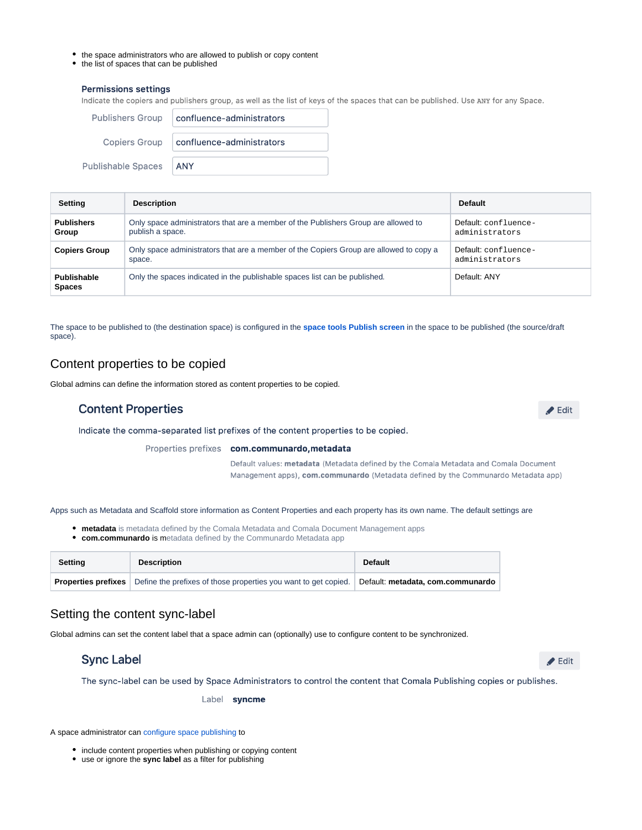- the space administrators who are allowed to publish or copy content
- the list of spaces that can be published

#### **Permissions settings**

Indicate the copiers and publishers group, as well as the list of keys of the spaces that can be published. Use ANY for any Space.

| <b>Publishers Group</b>   | confluence-administrators |
|---------------------------|---------------------------|
| <b>Copiers Group</b>      | confluence-administrators |
| <b>Publishable Spaces</b> | <b>ANY</b>                |

| Setting                      | <b>Description</b>                                                                                     | <b>Default</b>                         |
|------------------------------|--------------------------------------------------------------------------------------------------------|----------------------------------------|
| <b>Publishers</b><br>Group   | Only space administrators that are a member of the Publishers Group are allowed to<br>publish a space. | Default: confluence-<br>administrators |
| <b>Copiers Group</b>         | Only space administrators that are a member of the Copiers Group are allowed to copy a<br>space.       | Default: confluence-<br>administrators |
| Publishable<br><b>Spaces</b> | Only the spaces indicated in the publishable spaces list can be published.                             | Default: ANY                           |

The space to be published to (the destination space) is configured in the **[space tools Publish screen](https://wiki.comalatech.com/display/AHP/Publish+a+space)** in the space to be published (the source/draft space).

#### <span id="page-1-0"></span>Content properties to be copied

Global admins can define the information stored as content properties to be copied.

#### **Content Properties**

 $\blacktriangleright$  Edit

Indicate the comma-separated list prefixes of the content properties to be copied.

Properties prefixes com.communardo, metadata

Default values: metadata (Metadata defined by the Comala Metadata and Comala Document Management apps), com.communardo (Metadata defined by the Communardo Metadata app)

Apps such as Metadata and Scaffold store information as Content Properties and each property has its own name. The default settings are

- **metadata** is metadata defined by the Comala Metadata and Comala Document Management apps
- **com.communardo** is metadata defined by the Communardo Metadata app

| Settina | <b>Description</b>                                                                                                           | <b>Default</b> |
|---------|------------------------------------------------------------------------------------------------------------------------------|----------------|
|         | <b>Properties prefixes</b> Define the prefixes of those properties you want to get copied. Default: metadata, com.communardo |                |

#### <span id="page-1-1"></span>Setting the content sync-label

Global admins can set the content label that a space admin can (optionally) use to configure content to be synchronized.

#### **Sync Label**

 $\blacktriangleright$  Edit

The sync-label can be used by Space Administrators to control the content that Comala Publishing copies or publishes.

Label syncme

A space administrator can [configure space publishing](https://wiki.comalatech.com/display/AHP/Configure+-+space+tools) to

- include content properties when publishing or copying content
- use or ignore the **sync label** as a filter for publishing